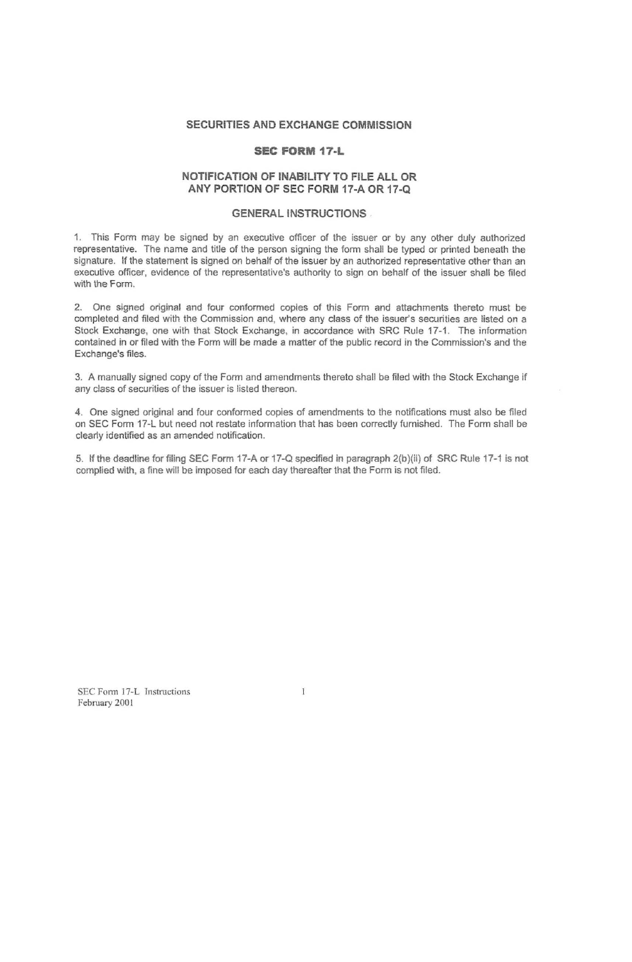# **SECURITIES AND EXCHANGE COMMISSION**

# **SEC FORM 17·L**

## **NOTIFICATION OF INABILITY TO FILE ALL OR ANY PORTION OF SEC FORM 17·A OR 17·Q**

## **GENERAL INSTRUCTIONS**

1. This Form may be signed by an executive officer of the issuer or by any other duly authorized representative. The name and title of the person signing the form shall be typed or printed beneath the signature. If the statement is signed on behalf of the issuer by an authorized representative other than an executive officer, evidence of the representative's authority to sign on behalf of the issuer shall be filed with the Form.

2. One signed original and four conformed copies of this Form and attachments thereto must be completed and filed with the Commission and, where any class of the issuer's secunties are listed on a Stock Exchange, one with that Stock Exchange, in accordance with SRC Rule 17-1. The information contained in or filed with the Form will be made a matter of the public record in the Commission's and the Exchange's files.

3. A manually signed copy of the Form and amendments thereto shall be filed with the Stock Exchange if any class of securities of the issuer is listed thereon.

4. One signed original and four conformed copies of amendments to the notifications must also be filed on SEC Form 17-L but need not restate information that has been correctly furnished. The Form shall be clearly identified as an amended notification.

5. If the deadline for filing SEC Form 17·A or 17-0 specified in paragraph 2(b)(ii) of SRC Rule 17-1 Is not complied with, a fine will be imposed for each day thereafter that the Form is not filed.

**SEC Form 17-L Instructions** February 2001

 $\mathbf{I}$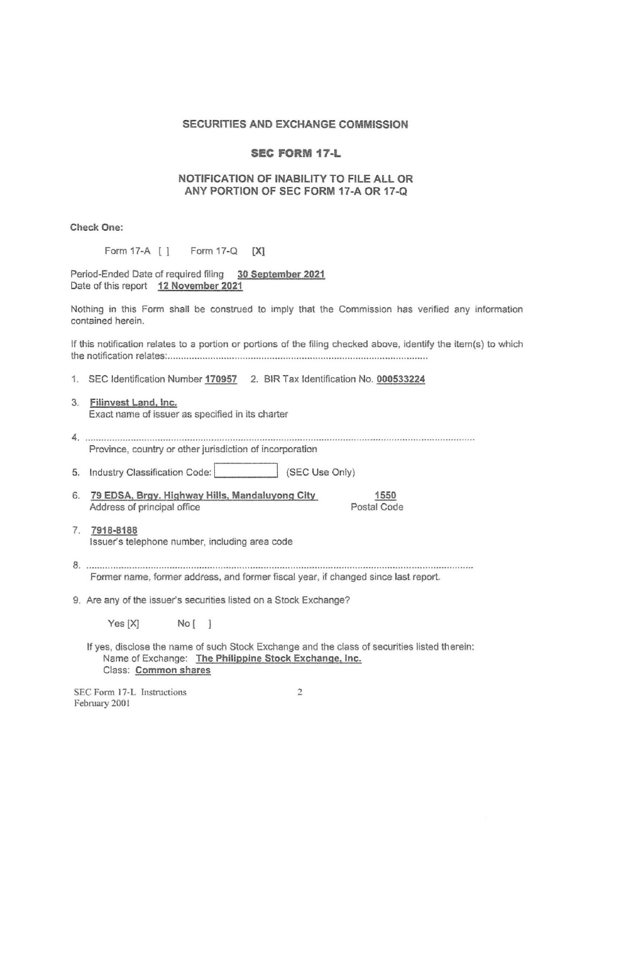# SECURITIES AND EXCHANGE COMMISSION

## SEC FORM 17·L

## NOTIFICATION OF INABILITY TO FILE ALL OR ANY PORTION OF SEC FORM 17·A OR 17·Q

Check One:

| Form 17-Q<br>[X] |
|------------------|
|                  |

Period-Ended Date of required filing 30 September 2021 Date of this report 12 November 2021

Nothing in this Form shall be construed to imply that the Commission has verified any information contained herein.

If this notification relates to a portion or portions of the filing checked above, identify the item(s) to which the notification relates: .............................................................................................. .

1. SEC Identification Number 170957 2. BIR Tax Identification No. 000533224

3. Filinvest Land, Inc. Exact name of issuer as specified in its charter

4 ........................ .......................... .... .......................... . Province, country or other jurisdiction of incorporation

5. Industry Classification Code: (SEC Use Only)

6. 79 EDSA, Brgy. Highway Hills, Mandaluyong City Address of principal office

1550 Postal Code

7. 7918·8188 Issuer's telephone number, including area code

8 ............................................................................................................................................... . Former name, former address, and fonner fiscal year, if changed since last report.

9. Are any of the issuer's securities listed on a Stock Exchange?

Yes [X] No [ ]

If yes, disclose the name of such Stock Exchange and the class of securities listed therein: Name of Exchange: The Philippine Stock Exchange, Inc. Class: Common shares

SEC Form 17·L Instructions February 2001

 $\tilde{2}$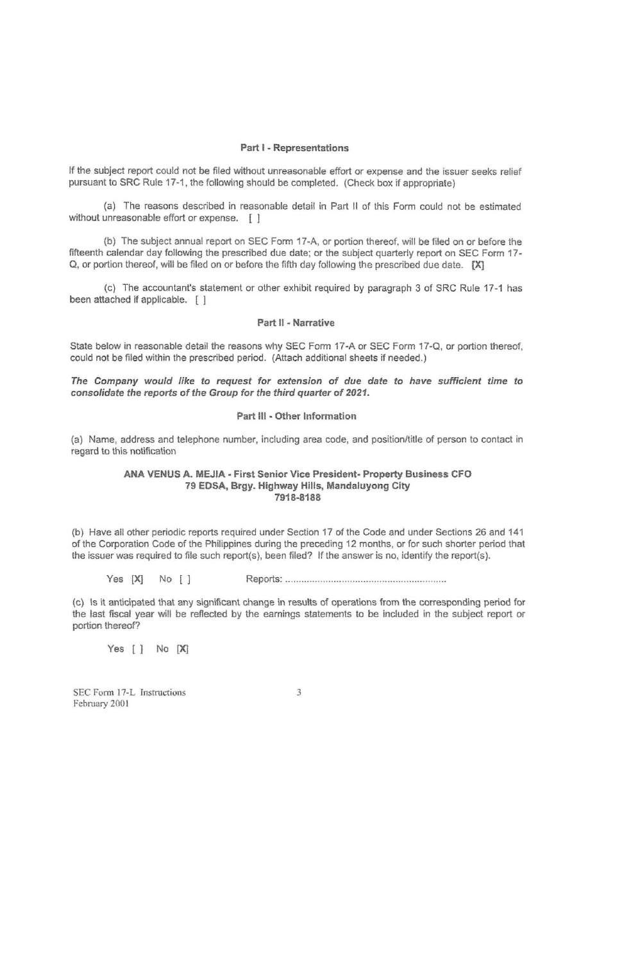#### Part I - Representations

If the subject report could not be filed without unreasonable effort or expense and the issuer seeks relief pursuant to SRC Rule 17-1 , the following should be completed. (Check box if appropriate)

(a) The reasons described in reasonable detail in Part II of this Form could not be estimated without unreasonable effort or expense. [ ]

(b) The subject annual report on SEC Form 17 -A, or portion thereof, will be filed on or before the fifteenth calendar day following the prescribed due date; or the subject quarterly report on SEC Form 17- Q, or portion thereof, will be filed on or before the fifth day following the prescribed due date. [X]

(c) The accountant's statement or other exhibit required by paragraph 3 of SRC Rule 17-1 has been attached if applicable. [ ]

## Part II - Narrative

State below in reasonable detail the reasons why SEC Form 17-A or SEC Form 17-0, or portion thereof, could not be filed within the prescribed period. (Attach additional sheets if needed.)

The Company would like to request for extension of due date to have sufficient time to consolidate the reports of the Group for the third quarter of 2021.

#### Part III - Other Information

(a) Name, address and telephone number, including area code, and positionltitie of person to contact in regard to this notification

#### ANA VENUS A. MEJIA - First Senior Vice President- Property Business CFO 79 EDSA. Brgy. Highway Hills. Mandaluyong City 7918-8188

(b) Have all other periodic reports required under Section 17 of the Code and under Sections 26 and 141 of the Corporation Code of the Philippines during the preceding 12 months. or for such shorter period that the issuer was required to file such report(s), been filed? If the answer is no, identify the report(s).

Yes [Xl No [1 Reports: ........... ......................................... ....... .

(c) Is it anticipated that any significant change in results of operations from the corresponding period for the last fiscal year will be reflected by the earnings statements to be included in the subject report or portion thereof?

Yes [ ] No [X]

SEC Form 17-L Tnstructions Febmary 2001

3